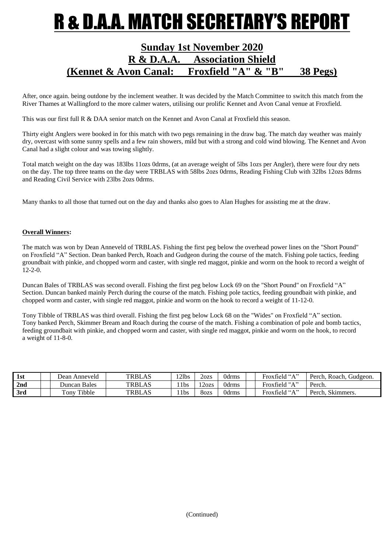### **R & D.A.A. MATCH SECRETARY'S REPOR**

### **Sunday 1st November 2020 R & D.A.A. Association Shield (Kennet & Avon Canal: Froxfield "A" & "B" 38 Pegs)**

After, once again. being outdone by the inclement weather. It was decided by the Match Committee to switch this match from the River Thames at Wallingford to the more calmer waters, utilising our prolific Kennet and Avon Canal venue at Froxfield.

This was our first full R & DAA senior match on the Kennet and Avon Canal at Froxfield this season.

Thirty eight Anglers were booked in for this match with two pegs remaining in the draw bag. The match day weather was mainly dry, overcast with some sunny spells and a few rain showers, mild but with a strong and cold wind blowing. The Kennet and Avon Canal had a slight colour and was towing slightly.

Total match weight on the day was 183lbs 11ozs 0drms, (at an average weight of 5lbs 1ozs per Angler), there were four dry nets on the day. The top three teams on the day were TRBLAS with 58lbs 2ozs 0drms, Reading Fishing Club with 32lbs 12ozs 8drms and Reading Civil Service with 23lbs 2ozs 0drms.

Many thanks to all those that turned out on the day and thanks also goes to Alan Hughes for assisting me at the draw.

#### **Overall Winners:**

The match was won by Dean Anneveld of TRBLAS. Fishing the first peg below the overhead power lines on the "Short Pound" on Froxfield "A" Section. Dean banked Perch, Roach and Gudgeon during the course of the match. Fishing pole tactics, feeding groundbait with pinkie, and chopped worm and caster, with single red maggot, pinkie and worm on the hook to record a weight of 12-2-0.

Duncan Bales of TRBLAS was second overall. Fishing the first peg below Lock 69 on the "Short Pound" on Froxfield "A" Section. Duncan banked mainly Perch during the course of the match. Fishing pole tactics, feeding groundbait with pinkie, and chopped worm and caster, with single red maggot, pinkie and worm on the hook to record a weight of 11-12-0.

Tony Tibble of TRBLAS was third overall. Fishing the first peg below Lock 68 on the "Wides" on Froxfield "A" section. Tony banked Perch, Skimmer Bream and Roach during the course of the match. Fishing a combination of pole and bomb tactics, feeding groundbait with pinkie, and chopped worm and caster, with single red maggot, pinkie and worm on the hook, to record a weight of 11-8-0.

| 1st | Dean Anneveld              | <b>TRBLAS</b> | '2lbs            | 2ozs  | 0drms | Froxfield "A" | Gudgeon.<br>Perch. Roach. |
|-----|----------------------------|---------------|------------------|-------|-------|---------------|---------------------------|
| 2nd | Duncan Bales               | <b>TRBLAS</b> | '1 <sub>bs</sub> | 120zs | 0drms | Froxfield "A" | Perch.                    |
| 3rd | Tibble<br>$_{\rm{conv}}$ . | <b>TRBLAS</b> | 1 <sup>1</sup>   | 8ozs  | 0drms | Froxfield "A" | Skimmers.<br>Perch.       |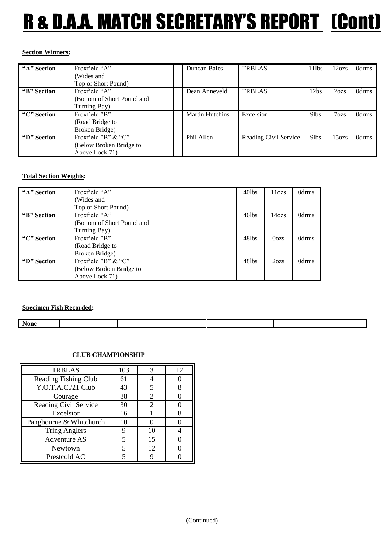# R & D.A.A. MATCH SECRETARY'S REPORT (Cont)

#### **Section Winners:**

| "A" Section | Froxfield "A"              | Duncan Bales           | <b>TRBLAS</b>         | 11 <sub>l</sub> bs | 12ozs             | 0drms |
|-------------|----------------------------|------------------------|-----------------------|--------------------|-------------------|-------|
|             | (Wides and                 |                        |                       |                    |                   |       |
|             | Top of Short Pound)        |                        |                       |                    |                   |       |
| "B" Section | Froxfield "A"              | Dean Anneveld          | <b>TRBLAS</b>         | 12 <sub>bs</sub>   | 2ozs              | 0drms |
|             | (Bottom of Short Pound and |                        |                       |                    |                   |       |
|             | Turning Bay)               |                        |                       |                    |                   |       |
| "C" Section | Froxfield "B"              | <b>Martin Hutchins</b> | Excelsior             | 9 <sub>lbs</sub>   | 7 <sub>ozs</sub>  | 0drms |
|             | (Road Bridge to            |                        |                       |                    |                   |       |
|             | Broken Bridge)             |                        |                       |                    |                   |       |
| "D" Section | Froxfield "B" & "C"        | Phil Allen             | Reading Civil Service | 9 <sub>lbs</sub>   | 15 <sub>ozs</sub> | 0drms |
|             | (Below Broken Bridge to    |                        |                       |                    |                   |       |
|             | Above Lock 71)             |                        |                       |                    |                   |       |

#### **Total Section Weights:**

| "A" Section | Froxfield "A"              | 40lbs | 11 <sub>o</sub> | 0drms |
|-------------|----------------------------|-------|-----------------|-------|
|             | (Wides and                 |       |                 |       |
|             | Top of Short Pound)        |       |                 |       |
| "B" Section | Froxfield "A"              | 46lbs | 14ozs           | 0drms |
|             | (Bottom of Short Pound and |       |                 |       |
|             | Turning Bay)               |       |                 |       |
| "C" Section | Froxfield "B"              | 48lbs | 0 <sub>o</sub>  | 0drms |
|             | (Road Bridge to            |       |                 |       |
|             | Broken Bridge)             |       |                 |       |
| "D" Section | Froxfield "B" & "C"        | 48lbs | 2ozs            | 0drms |
|             | (Below Broken Bridge to    |       |                 |       |
|             | Above Lock 71)             |       |                 |       |

**Specimen Fish Recorded:**

| . .<br>None |  |  |  |  |  |
|-------------|--|--|--|--|--|
|             |  |  |  |  |  |

### **CLUB CHAMPIONSHIP**

| <b>TRBLAS</b>           | 103 |                             | 12 |
|-------------------------|-----|-----------------------------|----|
| Reading Fishing Club    | 61  |                             |    |
| Y.O.T.A.C./21 Club      | 43  | 5                           | 8  |
| Courage                 | 38  | $\mathcal{D}_{\mathcal{L}}$ |    |
| Reading Civil Service   | 30  | 2                           |    |
| Excelsior               | 16  |                             | 8  |
| Pangbourne & Whitchurch | 10  |                             |    |
| <b>Tring Anglers</b>    | g   | 10                          |    |
| <b>Adventure AS</b>     | 5   | 15                          |    |
| Newtown                 |     | 12                          |    |
| Prestcold AC            |     |                             |    |